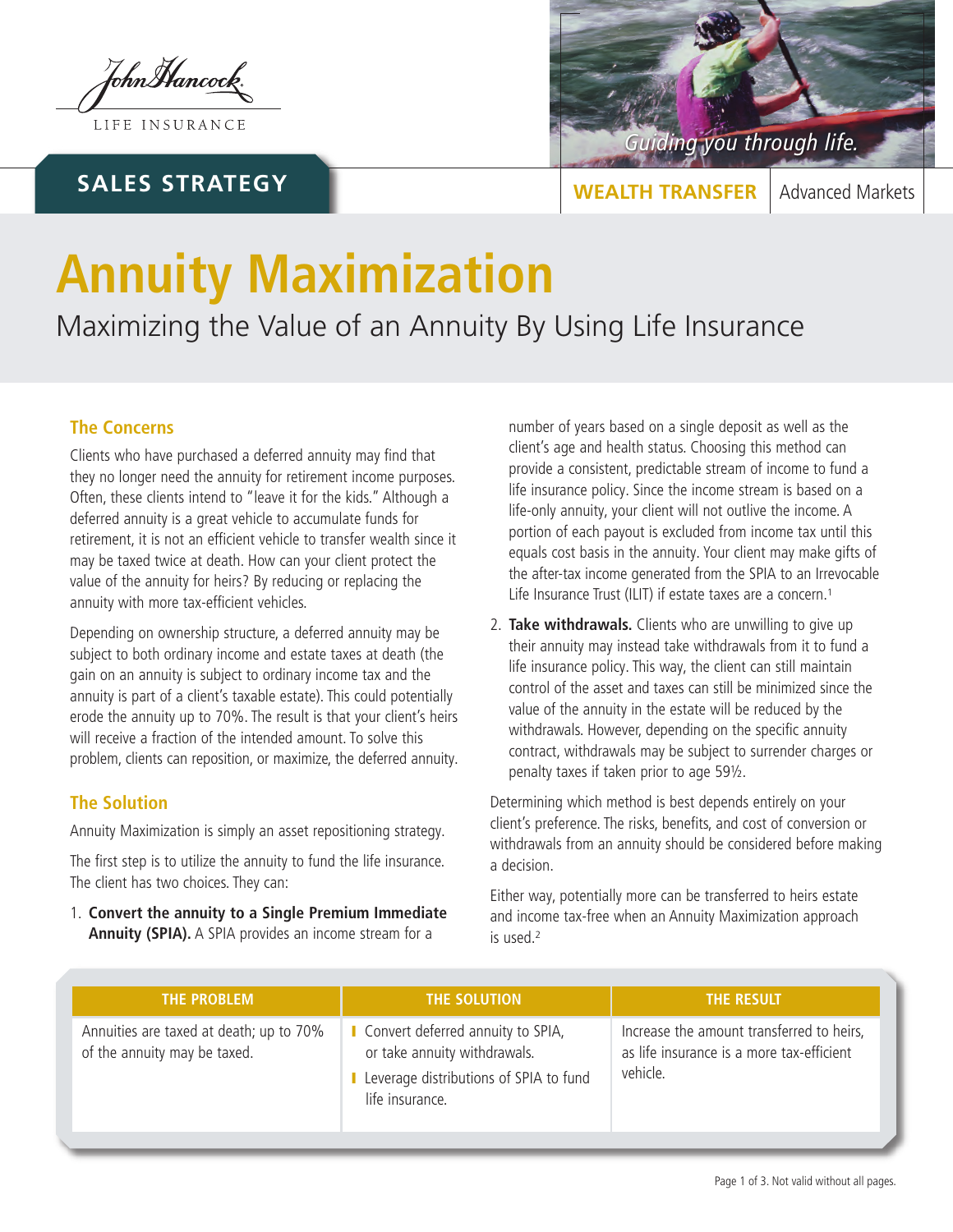JohnMancock

LIFE INSURANCE

## **SALES STRATEGY**



**WEALTH TRANSFER** | Advanced Markets

# **Annuity Maximization**

Maximizing the Value of an Annuity By Using Life Insurance

### **The Concerns**

Clients who have purchased a deferred annuity may find that they no longer need the annuity for retirement income purposes. Often, these clients intend to "leave it for the kids." Although a deferred annuity is a great vehicle to accumulate funds for retirement, it is not an efficient vehicle to transfer wealth since it may be taxed twice at death. How can your client protect the value of the annuity for heirs? By reducing or replacing the annuity with more tax-efficient vehicles.

Depending on ownership structure, a deferred annuity may be subject to both ordinary income and estate taxes at death (the gain on an annuity is subject to ordinary income tax and the annuity is part of a client's taxable estate). This could potentially erode the annuity up to 70%. The result is that your client's heirs will receive a fraction of the intended amount. To solve this problem, clients can reposition, or maximize, the deferred annuity.

#### **The Solution**

Annuity Maximization is simply an asset repositioning strategy.

The first step is to utilize the annuity to fund the life insurance. The client has two choices. They can:

1. **Convert the annuity to a Single Premium Immediate Annuity (SPIA).** A SPIA provides an income stream for a

number of years based on a single deposit as well as the client's age and health status. Choosing this method can provide a consistent, predictable stream of income to fund a life insurance policy. Since the income stream is based on a life-only annuity, your client will not outlive the income. A portion of each payout is excluded from income tax until this equals cost basis in the annuity. Your client may make gifts of the after-tax income generated from the SPIA to an Irrevocable Life Insurance Trust (ILIT) if estate taxes are a concern.<sup>1</sup>

2. **Take withdrawals.** Clients who are unwilling to give up their annuity may instead take withdrawals from it to fund a life insurance policy. This way, the client can still maintain control of the asset and taxes can still be minimized since the value of the annuity in the estate will be reduced by the withdrawals. However, depending on the specific annuity contract, withdrawals may be subject to surrender charges or penalty taxes if taken prior to age 59½.

Determining which method is best depends entirely on your client's preference. The risks, benefits, and cost of conversion or withdrawals from an annuity should be considered before making a decision.

Either way, potentially more can be transferred to heirs estate and income tax-free when an Annuity Maximization approach is used.<sup>2</sup>

| THE PROBLEM                                                             | THE SOLUTION                                                                                                                   | <b>THE RESULT</b>                                                                                  |
|-------------------------------------------------------------------------|--------------------------------------------------------------------------------------------------------------------------------|----------------------------------------------------------------------------------------------------|
| Annuities are taxed at death; up to 70%<br>of the annuity may be taxed. | Convert deferred annuity to SPIA,<br>or take annuity withdrawals.<br>Leverage distributions of SPIA to fund<br>life insurance. | Increase the amount transferred to heirs,<br>as life insurance is a more tax-efficient<br>vehicle. |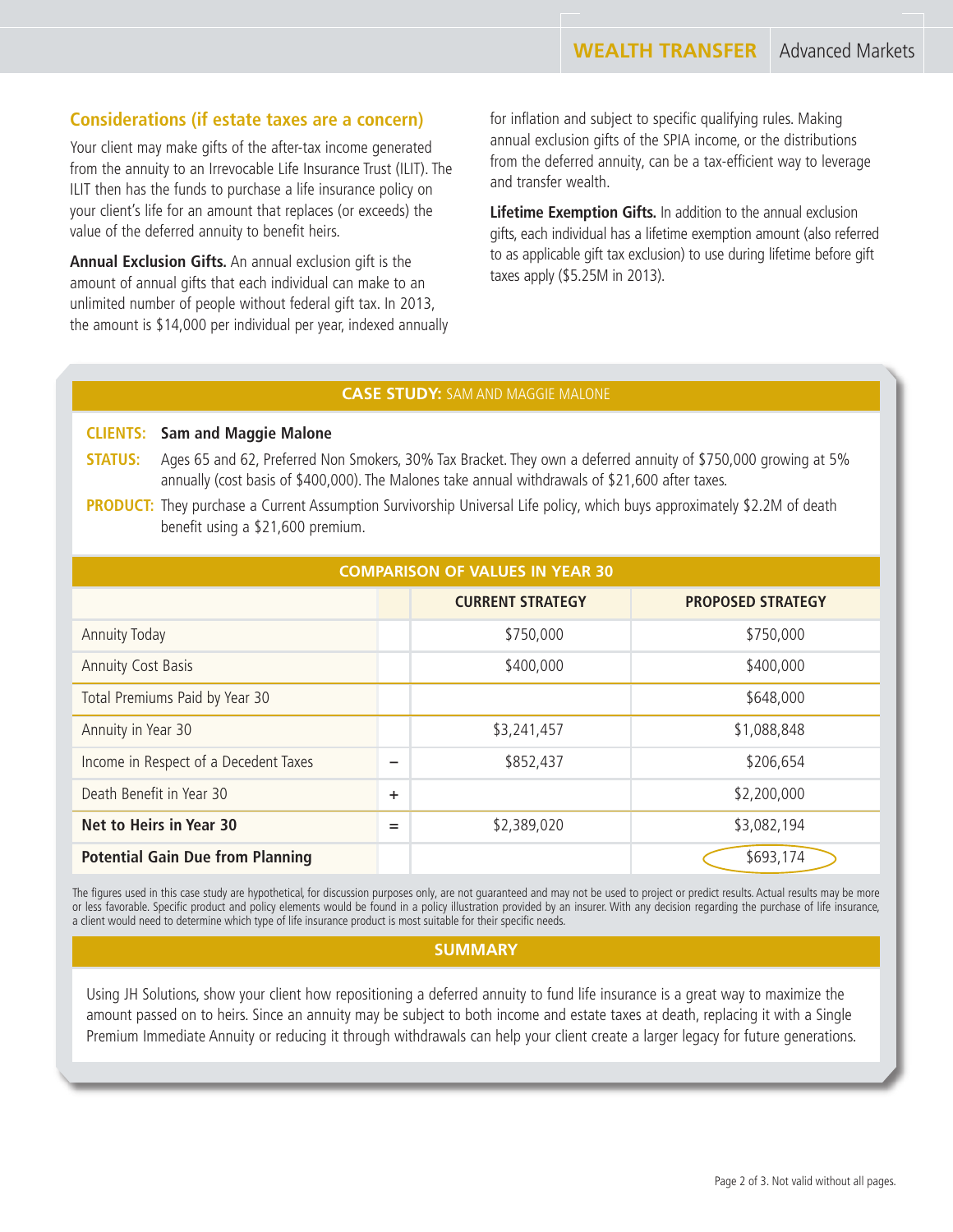#### **Considerations (if estate taxes are a concern)**

Your client may make gifts of the after-tax income generated from the annuity to an Irrevocable Life Insurance Trust (ILIT). The ILIT then has the funds to purchase a life insurance policy on your client's life for an amount that replaces (or exceeds) the value of the deferred annuity to benefit heirs.

**Annual Exclusion Gifts.** An annual exclusion gift is the amount of annual gifts that each individual can make to an unlimited number of people without federal gift tax. In 2013, the amount is \$14,000 per individual per year, indexed annually for inflation and subject to specific qualifying rules. Making annual exclusion gifts of the SPIA income, or the distributions from the deferred annuity, can be a tax-efficient way to leverage and transfer wealth.

**Lifetime Exemption Gifts.** In addition to the annual exclusion gifts, each individual has a lifetime exemption amount (also referred to as applicable gift tax exclusion) to use during lifetime before gift taxes apply (\$5.25M in 2013).

#### **CASE STUDY:** SAM AND MAGGIE MALONE

#### **CLIENTS: Sam and Maggie Malone**

- **STATUS:** Ages 65 and 62, Preferred Non Smokers, 30% Tax Bracket. They own a deferred annuity of \$750,000 growing at 5% annually (cost basis of \$400,000). The Malones take annual withdrawals of \$21,600 after taxes.
- **PRODUCT:** They purchase a Current Assumption Survivorship Universal Life policy, which buys approximately \$2.2M of death benefit using a \$21,600 premium.

| <b>COMPARISON OF VALUES IN YEAR 30</b>  |           |                         |                          |  |  |
|-----------------------------------------|-----------|-------------------------|--------------------------|--|--|
|                                         |           | <b>CURRENT STRATEGY</b> | <b>PROPOSED STRATEGY</b> |  |  |
| <b>Annuity Today</b>                    |           | \$750,000               | \$750,000                |  |  |
| <b>Annuity Cost Basis</b>               |           | \$400,000               | \$400,000                |  |  |
| Total Premiums Paid by Year 30          |           |                         | \$648,000                |  |  |
| Annuity in Year 30                      |           | \$3,241,457             | \$1,088,848              |  |  |
| Income in Respect of a Decedent Taxes   | –         | \$852,437               | \$206,654                |  |  |
| Death Benefit in Year 30                | $\ddot{}$ |                         | \$2,200,000              |  |  |
| Net to Heirs in Year 30                 | $=$       | \$2,389,020             | \$3,082,194              |  |  |
| <b>Potential Gain Due from Planning</b> |           |                         | \$693,174                |  |  |

The figures used in this case study are hypothetical, for discussion purposes only, are not guaranteed and may not be used to project or predict results. Actual results may be more or less favorable. Specific product and policy elements would be found in a policy illustration provided by an insurer. With any decision regarding the purchase of life insurance, a client would need to determine which type of life insurance product is most suitable for their specific needs.

#### **SUMMARY**

Using JH Solutions, show your client how repositioning a deferred annuity to fund life insurance is a great way to maximize the amount passed on to heirs. Since an annuity may be subject to both income and estate taxes at death, replacing it with a Single Premium Immediate Annuity or reducing it through withdrawals can help your client create a larger legacy for future generations.